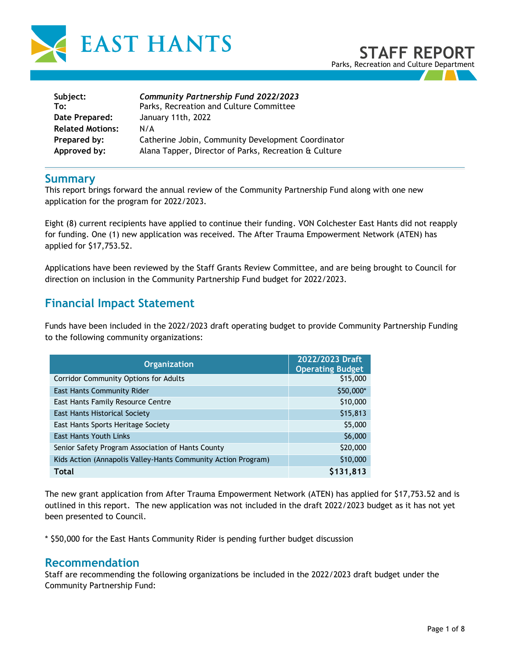

| Subject:                | <b>Community Partnership Fund 2022/2023</b>           |
|-------------------------|-------------------------------------------------------|
| To:                     | Parks, Recreation and Culture Committee               |
| Date Prepared:          | January 11th, 2022                                    |
| <b>Related Motions:</b> | N/A                                                   |
| Prepared by:            | Catherine Jobin, Community Development Coordinator    |
| Approved by:            | Alana Tapper, Director of Parks, Recreation & Culture |

## **Summary**

This report brings forward the annual review of the Community Partnership Fund along with one new application for the program for 2022/2023.

Eight (8) current recipients have applied to continue their funding. VON Colchester East Hants did not reapply for funding. One (1) new application was received. The After Trauma Empowerment Network (ATEN) has applied for \$17,753.52.

Applications have been reviewed by the Staff Grants Review Committee, and are being brought to Council for direction on inclusion in the Community Partnership Fund budget for 2022/2023.

# **Financial Impact Statement**

Funds have been included in the 2022/2023 draft operating budget to provide Community Partnership Funding to the following community organizations:

| <b>Organization</b>                                           | 2022/2023 Draft<br><b>Operating Budget</b> |
|---------------------------------------------------------------|--------------------------------------------|
| <b>Corridor Community Options for Adults</b>                  | \$15,000                                   |
| <b>East Hants Community Rider</b>                             | \$50,000*                                  |
| East Hants Family Resource Centre                             | \$10,000                                   |
| East Hants Historical Society                                 | \$15,813                                   |
| East Hants Sports Heritage Society                            | \$5,000                                    |
| <b>East Hants Youth Links</b>                                 | \$6,000                                    |
| Senior Safety Program Association of Hants County             | \$20,000                                   |
| Kids Action (Annapolis Valley-Hants Community Action Program) | \$10,000                                   |
| <b>Total</b>                                                  | \$131,813                                  |

The new grant application from After Trauma Empowerment Network (ATEN) has applied for \$17,753.52 and is outlined in this report. The new application was not included in the draft 2022/2023 budget as it has not yet been presented to Council.

\* \$50,000 for the East Hants Community Rider is pending further budget discussion

## **Recommendation**

Staff are recommending the following organizations be included in the 2022/2023 draft budget under the Community Partnership Fund: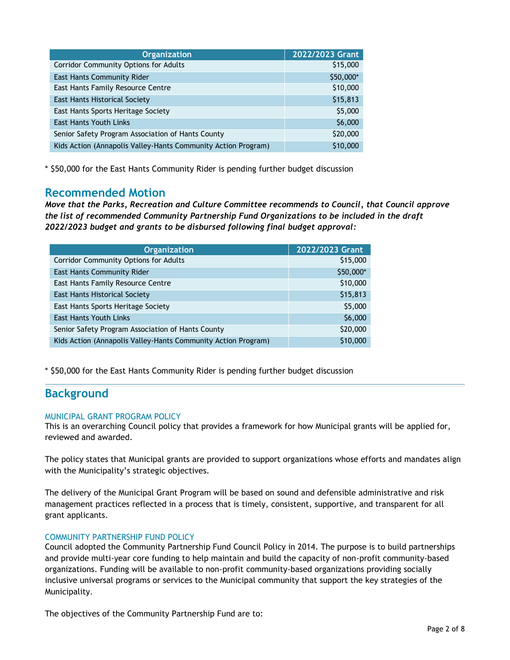| <b>Organization</b>                                           | 2022/2023 Grant |
|---------------------------------------------------------------|-----------------|
| <b>Corridor Community Options for Adults</b>                  | \$15,000        |
| <b>East Hants Community Rider</b>                             | \$50,000*       |
| East Hants Family Resource Centre                             | \$10,000        |
| <b>East Hants Historical Society</b>                          | \$15,813        |
| East Hants Sports Heritage Society                            | \$5,000         |
| <b>East Hants Youth Links</b>                                 | \$6,000         |
| Senior Safety Program Association of Hants County             | \$20,000        |
| Kids Action (Annapolis Valley-Hants Community Action Program) | \$10,000        |

\* \$50,000 for the East Hants Community Rider is pending further budget discussion

## **Recommended Motion**

*Move that the Parks, Recreation and Culture Committee recommends to Council, that Council approve the list of recommended Community Partnership Fund Organizations to be included in the draft 2022/2023 budget and grants to be disbursed following final budget approval:* 

| <b>Organization</b>                                           | 2022/2023 Grant |
|---------------------------------------------------------------|-----------------|
| <b>Corridor Community Options for Adults</b>                  | \$15,000        |
| East Hants Community Rider                                    | \$50,000*       |
| East Hants Family Resource Centre                             | \$10,000        |
| <b>East Hants Historical Society</b>                          | \$15,813        |
| East Hants Sports Heritage Society                            | \$5,000         |
| <b>East Hants Youth Links</b>                                 | \$6,000         |
| Senior Safety Program Association of Hants County             | \$20,000        |
| Kids Action (Annapolis Valley-Hants Community Action Program) | \$10,000        |

\* \$50,000 for the East Hants Community Rider is pending further budget discussion

# **Background**

## MUNICIPAL GRANT PROGRAM POLICY

This is an overarching Council policy that provides a framework for how Municipal grants will be applied for, reviewed and awarded.

The policy states that Municipal grants are provided to support organizations whose efforts and mandates align with the Municipality's strategic objectives.

The delivery of the Municipal Grant Program will be based on sound and defensible administrative and risk management practices reflected in a process that is timely, consistent, supportive, and transparent for all grant applicants.

## COMMUNITY PARTNERSHIP FUND POLICY

Council adopted the Community Partnership Fund Council Policy in 2014. The purpose is to build partnerships and provide multi-year core funding to help maintain and build the capacity of non-profit community-based organizations. Funding will be available to non-profit community-based organizations providing socially inclusive universal programs or services to the Municipal community that support the key strategies of the Municipality.

The objectives of the Community Partnership Fund are to: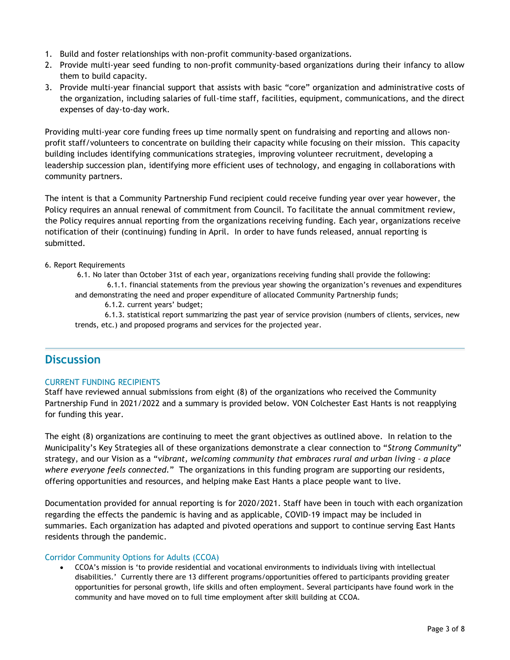- 1. Build and foster relationships with non-profit community-based organizations.
- 2. Provide multi-year seed funding to non-profit community-based organizations during their infancy to allow them to build capacity.
- 3. Provide multi-year financial support that assists with basic "core" organization and administrative costs of the organization, including salaries of full-time staff, facilities, equipment, communications, and the direct expenses of day-to-day work.

Providing multi-year core funding frees up time normally spent on fundraising and reporting and allows nonprofit staff/volunteers to concentrate on building their capacity while focusing on their mission. This capacity building includes identifying communications strategies, improving volunteer recruitment, developing a leadership succession plan, identifying more efficient uses of technology, and engaging in collaborations with community partners.

The intent is that a Community Partnership Fund recipient could receive funding year over year however, the Policy requires an annual renewal of commitment from Council. To facilitate the annual commitment review, the Policy requires annual reporting from the organizations receiving funding. Each year, organizations receive notification of their (continuing) funding in April. In order to have funds released, annual reporting is submitted.

## 6. Report Requirements

6.1. No later than October 31st of each year, organizations receiving funding shall provide the following: 6.1.1. financial statements from the previous year showing the organization's revenues and expenditures and demonstrating the need and proper expenditure of allocated Community Partnership funds;

6.1.2. current years' budget;

6.1.3. statistical report summarizing the past year of service provision (numbers of clients, services, new trends, etc.) and proposed programs and services for the projected year.

## **Discussion**

## CURRENT FUNDING RECIPIENTS

Staff have reviewed annual submissions from eight (8) of the organizations who received the Community Partnership Fund in 2021/2022 and a summary is provided below. VON Colchester East Hants is not reapplying for funding this year.

The eight (8) organizations are continuing to meet the grant objectives as outlined above. In relation to the Municipality's Key Strategies all of these organizations demonstrate a clear connection to "*Strong Community*" strategy, and our Vision as a "*vibrant, welcoming community that embraces rural and urban living – a place where everyone feels connected.*" The organizations in this funding program are supporting our residents, offering opportunities and resources, and helping make East Hants a place people want to live.

Documentation provided for annual reporting is for 2020/2021. Staff have been in touch with each organization regarding the effects the pandemic is having and as applicable, COVID-19 impact may be included in summaries. Each organization has adapted and pivoted operations and support to continue serving East Hants residents through the pandemic.

#### Corridor Community Options for Adults (CCOA)

• CCOA's mission is 'to provide residential and vocational environments to individuals living with intellectual disabilities.' Currently there are 13 different programs/opportunities offered to participants providing greater opportunities for personal growth, life skills and often employment. Several participants have found work in the community and have moved on to full time employment after skill building at CCOA.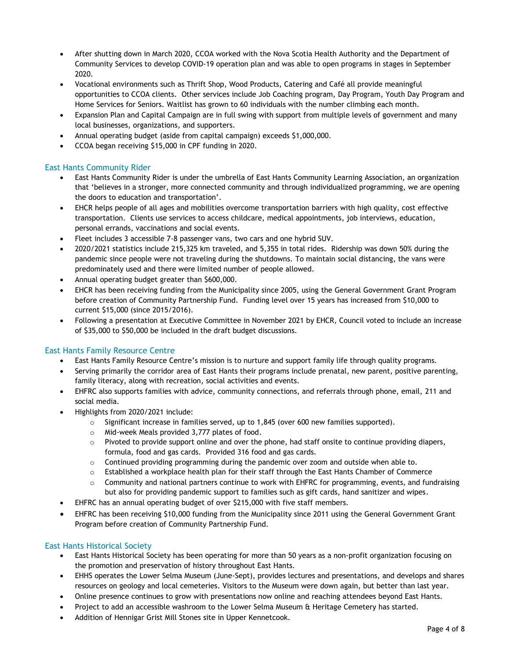- After shutting down in March 2020, CCOA worked with the Nova Scotia Health Authority and the Department of Community Services to develop COVID-19 operation plan and was able to open programs in stages in September 2020.
- Vocational environments such as Thrift Shop, Wood Products, Catering and Café all provide meaningful opportunities to CCOA clients. Other services include Job Coaching program, Day Program, Youth Day Program and Home Services for Seniors. Waitlist has grown to 60 individuals with the number climbing each month.
- Expansion Plan and Capital Campaign are in full swing with support from multiple levels of government and many local businesses, organizations, and supporters.
- Annual operating budget (aside from capital campaign) exceeds \$1,000,000.
- CCOA began receiving \$15,000 in CPF funding in 2020.

### East Hants Community Rider

- East Hants Community Rider is under the umbrella of East Hants Community Learning Association, an organization that 'believes in a stronger, more connected community and through individualized programming, we are opening the doors to education and transportation'.
- EHCR helps people of all ages and mobilities overcome transportation barriers with high quality, cost effective transportation. Clients use services to access childcare, medical appointments, job interviews, education, personal errands, vaccinations and social events.
- Fleet includes 3 accessible 7-8 passenger vans, two cars and one hybrid SUV.
- 2020/2021 statistics include 215,325 km traveled, and 5,355 in total rides. Ridership was down 50% during the pandemic since people were not traveling during the shutdowns. To maintain social distancing, the vans were predominately used and there were limited number of people allowed.
- Annual operating budget greater than \$600,000.
- EHCR has been receiving funding from the Municipality since 2005, using the General Government Grant Program before creation of Community Partnership Fund. Funding level over 15 years has increased from \$10,000 to current \$15,000 (since 2015/2016).
- Following a presentation at Executive Committee in November 2021 by EHCR, Council voted to include an increase of \$35,000 to \$50,000 be included in the draft budget discussions.

#### East Hants Family Resource Centre

- East Hants Family Resource Centre's mission is to nurture and support family life through quality programs.
- Serving primarily the corridor area of East Hants their programs include prenatal, new parent, positive parenting, family literacy, along with recreation, social activities and events.
- EHFRC also supports families with advice, community connections, and referrals through phone, email, 211 and social media.
- Highlights from 2020/2021 include:
	- $\circ$  Significant increase in families served, up to 1,845 (over 600 new families supported).
	- o Mid-week Meals provided 3,777 plates of food.
	- $\circ$  Pivoted to provide support online and over the phone, had staff onsite to continue providing diapers, formula, food and gas cards. Provided 316 food and gas cards.
	- o Continued providing programming during the pandemic over zoom and outside when able to.
	- o Established a workplace health plan for their staff through the East Hants Chamber of Commerce
	- $\circ$  Community and national partners continue to work with EHFRC for programming, events, and fundraising but also for providing pandemic support to families such as gift cards, hand sanitizer and wipes.
- EHFRC has an annual operating budget of over \$215,000 with five staff members.
- EHFRC has been receiving \$10,000 funding from the Municipality since 2011 using the General Government Grant Program before creation of Community Partnership Fund.

## East Hants Historical Society

- East Hants Historical Society has been operating for more than 50 years as a non-profit organization focusing on the promotion and preservation of history throughout East Hants.
- EHHS operates the Lower Selma Museum (June-Sept), provides lectures and presentations, and develops and shares resources on geology and local cemeteries. Visitors to the Museum were down again, but better than last year.
- Online presence continues to grow with presentations now online and reaching attendees beyond East Hants.
- Project to add an accessible washroom to the Lower Selma Museum & Heritage Cemetery has started.
- Addition of Hennigar Grist Mill Stones site in Upper Kennetcook.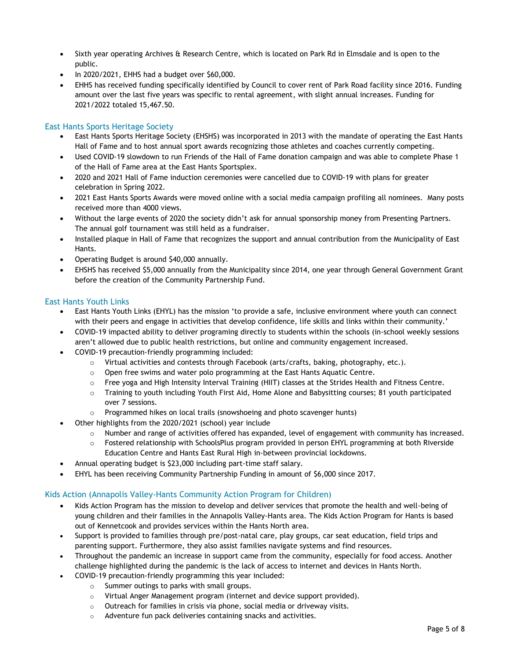- Sixth year operating Archives & Research Centre, which is located on Park Rd in Elmsdale and is open to the public.
- In 2020/2021, EHHS had a budget over \$60,000.
- EHHS has received funding specifically identified by Council to cover rent of Park Road facility since 2016. Funding amount over the last five years was specific to rental agreement, with slight annual increases. Funding for 2021/2022 totaled 15,467.50.

### East Hants Sports Heritage Society

- East Hants Sports Heritage Society (EHSHS) was incorporated in 2013 with the mandate of operating the East Hants Hall of Fame and to host annual sport awards recognizing those athletes and coaches currently competing.
- Used COVID-19 slowdown to run Friends of the Hall of Fame donation campaign and was able to complete Phase 1 of the Hall of Fame area at the East Hants Sportsplex.
- 2020 and 2021 Hall of Fame induction ceremonies were cancelled due to COVID-19 with plans for greater celebration in Spring 2022.
- 2021 East Hants Sports Awards were moved online with a social media campaign profiling all nominees. Many posts received more than 4000 views.
- Without the large events of 2020 the society didn't ask for annual sponsorship money from Presenting Partners. The annual golf tournament was still held as a fundraiser.
- Installed plaque in Hall of Fame that recognizes the support and annual contribution from the Municipality of East Hants.
- Operating Budget is around \$40,000 annually.
- EHSHS has received \$5,000 annually from the Municipality since 2014, one year through General Government Grant before the creation of the Community Partnership Fund.

#### East Hants Youth Links

- East Hants Youth Links (EHYL) has the mission 'to provide a safe, inclusive environment where youth can connect with their peers and engage in activities that develop confidence, life skills and links within their community.'
- COVID-19 impacted ability to deliver programing directly to students within the schools (in-school weekly sessions aren't allowed due to public health restrictions, but online and community engagement increased.
- COVID-19 precaution-friendly programming included:
	- o Virtual activities and contests through Facebook (arts/crafts, baking, photography, etc.).
	- $\circ$  Open free swims and water polo programming at the East Hants Aquatic Centre.
	- o Free yoga and High Intensity Interval Training (HIIT) classes at the Strides Health and Fitness Centre.
	- $\circ$  Training to youth including Youth First Aid, Home Alone and Babysitting courses; 81 youth participated over 7 sessions.
	- o Programmed hikes on local trails (snowshoeing and photo scavenger hunts)
	- Other highlights from the 2020/2021 (school) year include
		- $\circ$  Number and range of activities offered has expanded, level of engagement with community has increased.
		- o Fostered relationship with SchoolsPlus program provided in person EHYL programming at both Riverside Education Centre and Hants East Rural High in-between provincial lockdowns.
- Annual operating budget is \$23,000 including part-time staff salary.
- EHYL has been receiving Community Partnership Funding in amount of \$6,000 since 2017.

#### Kids Action (Annapolis Valley-Hants Community Action Program for Children)

- Kids Action Program has the mission to develop and deliver services that promote the health and well-being of young children and their families in the Annapolis Valley-Hants area. The Kids Action Program for Hants is based out of Kennetcook and provides services within the Hants North area.
- Support is provided to families through pre/post-natal care, play groups, car seat education, field trips and parenting support. Furthermore, they also assist families navigate systems and find resources.
- Throughout the pandemic an increase in support came from the community, especially for food access. Another challenge highlighted during the pandemic is the lack of access to internet and devices in Hants North.
	- COVID-19 precaution-friendly programming this year included:
		- o Summer outings to parks with small groups.
		- o Virtual Anger Management program (internet and device support provided).
		- o Outreach for families in crisis via phone, social media or driveway visits.
		- o Adventure fun pack deliveries containing snacks and activities.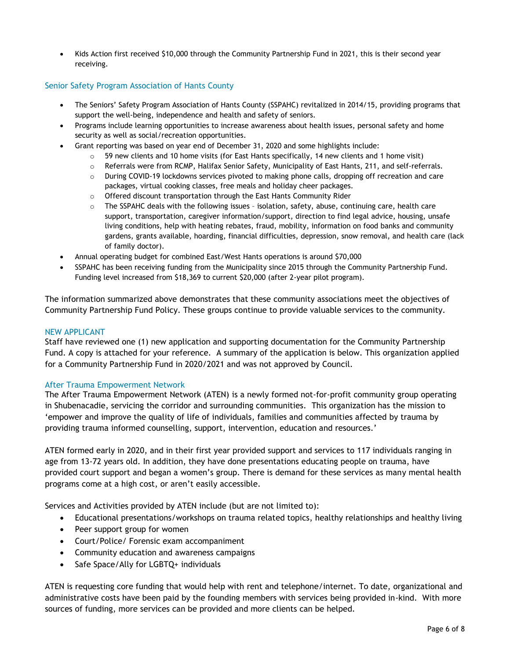• Kids Action first received \$10,000 through the Community Partnership Fund in 2021, this is their second year receiving.

### Senior Safety Program Association of Hants County

- The Seniors' Safety Program Association of Hants County (SSPAHC) revitalized in 2014/15, providing programs that support the well-being, independence and health and safety of seniors.
- Programs include learning opportunities to increase awareness about health issues, personal safety and home security as well as social/recreation opportunities.
- Grant reporting was based on year end of December 31, 2020 and some highlights include:
	- $\circ$  59 new clients and 10 home visits (for East Hants specifically, 14 new clients and 1 home visit)
	- o Referrals were from RCMP, Halifax Senior Safety, Municipality of East Hants, 211, and self-referrals.
	- $\circ$  During COVID-19 lockdowns services pivoted to making phone calls, dropping off recreation and care packages, virtual cooking classes, free meals and holiday cheer packages.
	- o Offered discount transportation through the East Hants Community Rider
	- $\circ$  The SSPAHC deals with the following issues isolation, safety, abuse, continuing care, health care support, transportation, caregiver information/support, direction to find legal advice, housing, unsafe living conditions, help with heating rebates, fraud, mobility, information on food banks and community gardens, grants available, hoarding, financial difficulties, depression, snow removal, and health care (lack of family doctor).
- Annual operating budget for combined East/West Hants operations is around \$70,000
- SSPAHC has been receiving funding from the Municipality since 2015 through the Community Partnership Fund. Funding level increased from \$18,369 to current \$20,000 (after 2-year pilot program).

The information summarized above demonstrates that these community associations meet the objectives of Community Partnership Fund Policy. These groups continue to provide valuable services to the community.

#### NEW APPLICANT

Staff have reviewed one (1) new application and supporting documentation for the Community Partnership Fund. A copy is attached for your reference. A summary of the application is below. This organization applied for a Community Partnership Fund in 2020/2021 and was not approved by Council.

#### After Trauma Empowerment Network

The After Trauma Empowerment Network (ATEN) is a newly formed not-for-profit community group operating in Shubenacadie, servicing the corridor and surrounding communities. This organization has the mission to 'empower and improve the quality of life of individuals, families and communities affected by trauma by providing trauma informed counselling, support, intervention, education and resources.'

ATEN formed early in 2020, and in their first year provided support and services to 117 individuals ranging in age from 13-72 years old. In addition, they have done presentations educating people on trauma, have provided court support and began a women's group. There is demand for these services as many mental health programs come at a high cost, or aren't easily accessible.

Services and Activities provided by ATEN include (but are not limited to):

- Educational presentations/workshops on trauma related topics, healthy relationships and healthy living
- Peer support group for women
- Court/Police/ Forensic exam accompaniment
- Community education and awareness campaigns
- Safe Space/Ally for LGBTQ+ individuals

ATEN is requesting core funding that would help with rent and telephone/internet. To date, organizational and administrative costs have been paid by the founding members with services being provided in-kind. With more sources of funding, more services can be provided and more clients can be helped.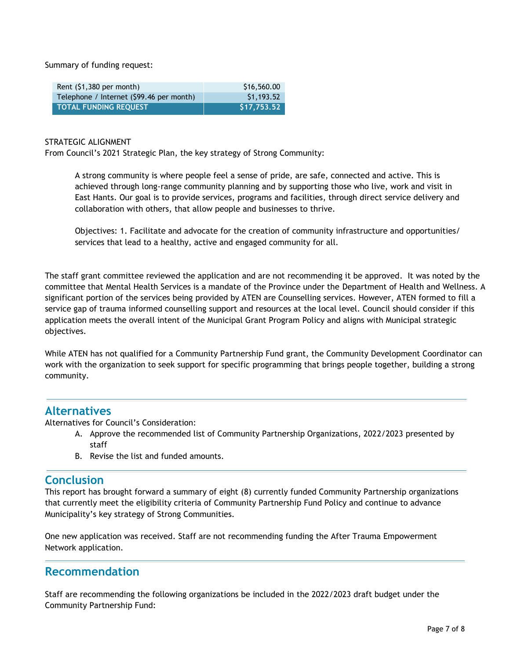Summary of funding request:

| Rent $(51,380$ per month)                | \$16,560.00 |
|------------------------------------------|-------------|
| Telephone / Internet (\$99.46 per month) | \$1,193.52  |
| <b>TOTAL FUNDING REQUEST</b>             | \$17,753.52 |

#### STRATEGIC ALIGNMENT

From Council's 2021 Strategic Plan, the key strategy of Strong Community:

A strong community is where people feel a sense of pride, are safe, connected and active. This is achieved through long-range community planning and by supporting those who live, work and visit in East Hants. Our goal is to provide services, programs and facilities, through direct service delivery and collaboration with others, that allow people and businesses to thrive.

Objectives: 1. Facilitate and advocate for the creation of community infrastructure and opportunities/ services that lead to a healthy, active and engaged community for all.

The staff grant committee reviewed the application and are not recommending it be approved. It was noted by the committee that Mental Health Services is a mandate of the Province under the Department of Health and Wellness. A significant portion of the services being provided by ATEN are Counselling services. However, ATEN formed to fill a service gap of trauma informed counselling support and resources at the local level. Council should consider if this application meets the overall intent of the Municipal Grant Program Policy and aligns with Municipal strategic objectives.

While ATEN has not qualified for a Community Partnership Fund grant, the Community Development Coordinator can work with the organization to seek support for specific programming that brings people together, building a strong community.

## **Alternatives**

Alternatives for Council's Consideration:

- A. Approve the recommended list of Community Partnership Organizations, 2022/2023 presented by staff
- B. Revise the list and funded amounts.

## **Conclusion**

This report has brought forward a summary of eight (8) currently funded Community Partnership organizations that currently meet the eligibility criteria of Community Partnership Fund Policy and continue to advance Municipality's key strategy of Strong Communities.

One new application was received. Staff are not recommending funding the After Trauma Empowerment Network application.

# **Recommendation**

Staff are recommending the following organizations be included in the 2022/2023 draft budget under the Community Partnership Fund: